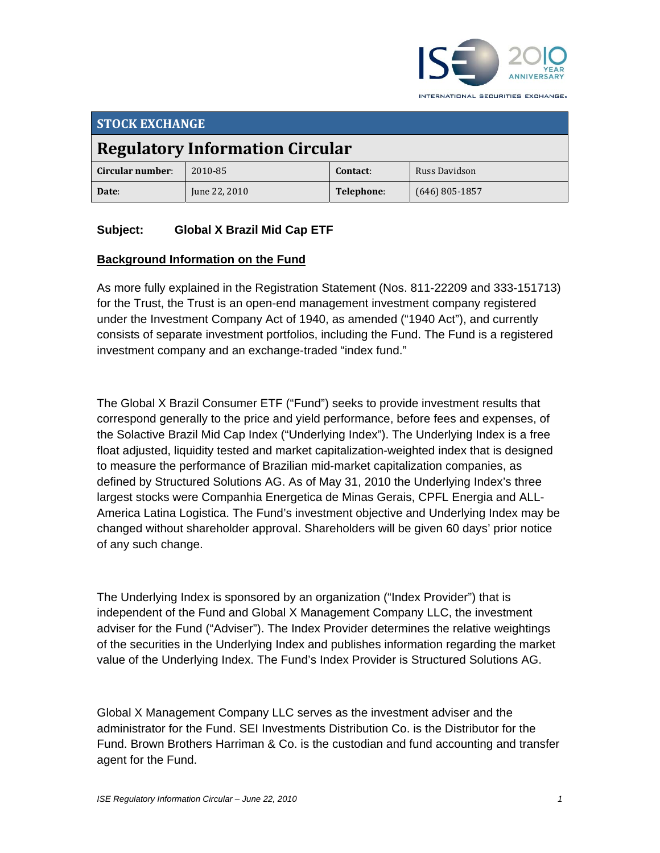

**STOCK EXCHANGE Regulatory Information Circular Circular number**: 2010‐85 **Contact**: Russ Davidson **Date**: June 22, 2010 **Telephone**: (646) 805‐1857

### **Subject: Global X Brazil Mid Cap ETF**

#### **Background Information on the Fund**

As more fully explained in the Registration Statement (Nos. 811-22209 and 333-151713) for the Trust, the Trust is an open-end management investment company registered under the Investment Company Act of 1940, as amended ("1940 Act"), and currently consists of separate investment portfolios, including the Fund. The Fund is a registered investment company and an exchange-traded "index fund."

The Global X Brazil Consumer ETF ("Fund") seeks to provide investment results that correspond generally to the price and yield performance, before fees and expenses, of the Solactive Brazil Mid Cap Index ("Underlying Index"). The Underlying Index is a free float adjusted, liquidity tested and market capitalization-weighted index that is designed to measure the performance of Brazilian mid-market capitalization companies, as defined by Structured Solutions AG. As of May 31, 2010 the Underlying Index's three largest stocks were Companhia Energetica de Minas Gerais, CPFL Energia and ALL-America Latina Logistica. The Fund's investment objective and Underlying Index may be changed without shareholder approval. Shareholders will be given 60 days' prior notice of any such change.

The Underlying Index is sponsored by an organization ("Index Provider") that is independent of the Fund and Global X Management Company LLC, the investment adviser for the Fund ("Adviser"). The Index Provider determines the relative weightings of the securities in the Underlying Index and publishes information regarding the market value of the Underlying Index. The Fund's Index Provider is Structured Solutions AG.

Global X Management Company LLC serves as the investment adviser and the administrator for the Fund. SEI Investments Distribution Co. is the Distributor for the Fund. Brown Brothers Harriman & Co. is the custodian and fund accounting and transfer agent for the Fund.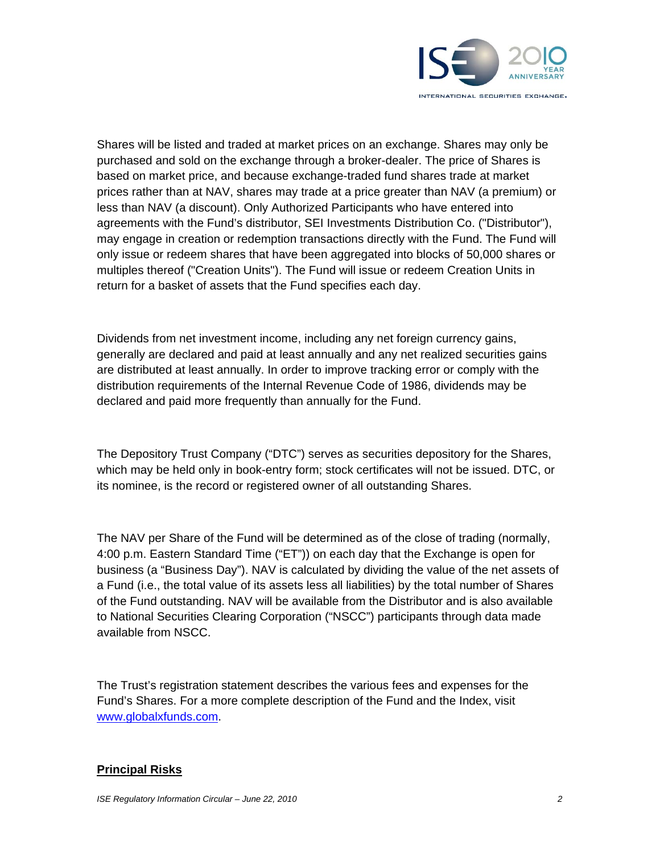

Shares will be listed and traded at market prices on an exchange. Shares may only be purchased and sold on the exchange through a broker-dealer. The price of Shares is based on market price, and because exchange-traded fund shares trade at market prices rather than at NAV, shares may trade at a price greater than NAV (a premium) or less than NAV (a discount). Only Authorized Participants who have entered into agreements with the Fund's distributor, SEI Investments Distribution Co. ("Distributor"), may engage in creation or redemption transactions directly with the Fund. The Fund will only issue or redeem shares that have been aggregated into blocks of 50,000 shares or multiples thereof ("Creation Units"). The Fund will issue or redeem Creation Units in return for a basket of assets that the Fund specifies each day.

Dividends from net investment income, including any net foreign currency gains, generally are declared and paid at least annually and any net realized securities gains are distributed at least annually. In order to improve tracking error or comply with the distribution requirements of the Internal Revenue Code of 1986, dividends may be declared and paid more frequently than annually for the Fund.

The Depository Trust Company ("DTC") serves as securities depository for the Shares, which may be held only in book-entry form; stock certificates will not be issued. DTC, or its nominee, is the record or registered owner of all outstanding Shares.

The NAV per Share of the Fund will be determined as of the close of trading (normally, 4:00 p.m. Eastern Standard Time ("ET")) on each day that the Exchange is open for business (a "Business Day"). NAV is calculated by dividing the value of the net assets of a Fund (i.e., the total value of its assets less all liabilities) by the total number of Shares of the Fund outstanding. NAV will be available from the Distributor and is also available to National Securities Clearing Corporation ("NSCC") participants through data made available from NSCC.

The Trust's registration statement describes the various fees and expenses for the Fund's Shares. For a more complete description of the Fund and the Index, visit www.globalxfunds.com.

#### **Principal Risks**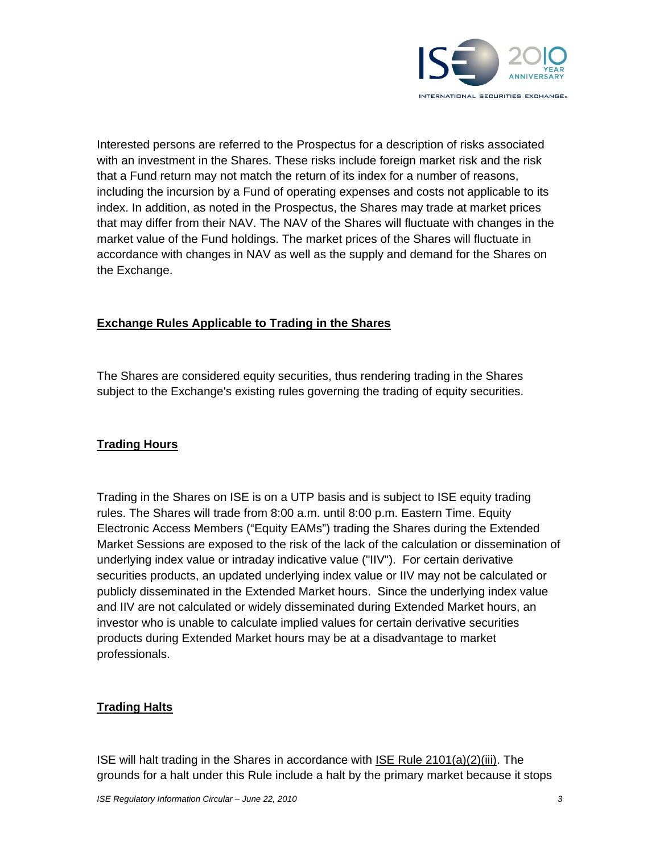

Interested persons are referred to the Prospectus for a description of risks associated with an investment in the Shares. These risks include foreign market risk and the risk that a Fund return may not match the return of its index for a number of reasons, including the incursion by a Fund of operating expenses and costs not applicable to its index. In addition, as noted in the Prospectus, the Shares may trade at market prices that may differ from their NAV. The NAV of the Shares will fluctuate with changes in the market value of the Fund holdings. The market prices of the Shares will fluctuate in accordance with changes in NAV as well as the supply and demand for the Shares on the Exchange.

#### **Exchange Rules Applicable to Trading in the Shares**

The Shares are considered equity securities, thus rendering trading in the Shares subject to the Exchange's existing rules governing the trading of equity securities.

### **Trading Hours**

Trading in the Shares on ISE is on a UTP basis and is subject to ISE equity trading rules. The Shares will trade from 8:00 a.m. until 8:00 p.m. Eastern Time. Equity Electronic Access Members ("Equity EAMs") trading the Shares during the Extended Market Sessions are exposed to the risk of the lack of the calculation or dissemination of underlying index value or intraday indicative value ("IIV"). For certain derivative securities products, an updated underlying index value or IIV may not be calculated or publicly disseminated in the Extended Market hours. Since the underlying index value and IIV are not calculated or widely disseminated during Extended Market hours, an investor who is unable to calculate implied values for certain derivative securities products during Extended Market hours may be at a disadvantage to market professionals.

### **Trading Halts**

ISE will halt trading in the Shares in accordance with ISE Rule 2101(a)(2)(iii). The grounds for a halt under this Rule include a halt by the primary market because it stops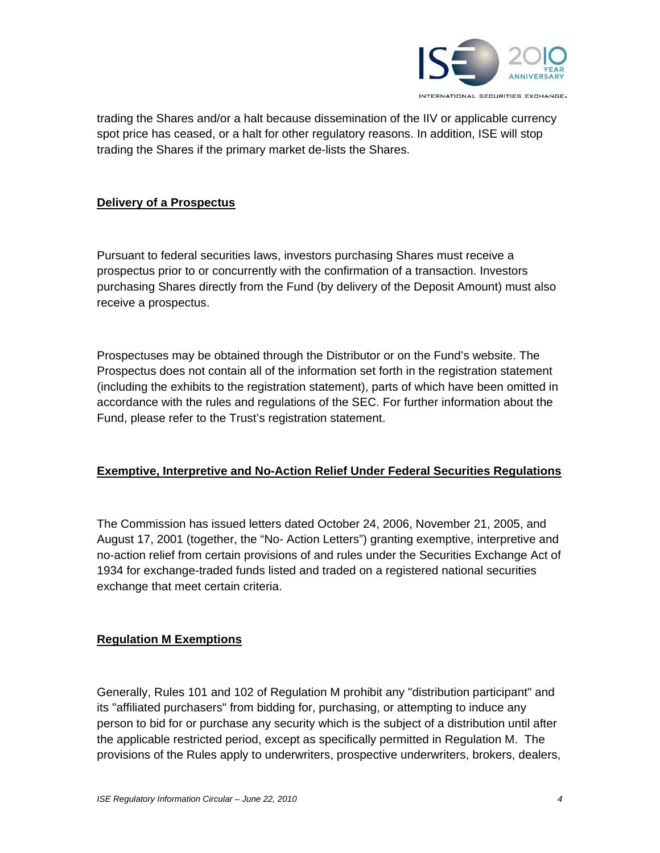

trading the Shares and/or a halt because dissemination of the IIV or applicable currency spot price has ceased, or a halt for other regulatory reasons. In addition, ISE will stop trading the Shares if the primary market de-lists the Shares.

#### **Delivery of a Prospectus**

Pursuant to federal securities laws, investors purchasing Shares must receive a prospectus prior to or concurrently with the confirmation of a transaction. Investors purchasing Shares directly from the Fund (by delivery of the Deposit Amount) must also receive a prospectus.

Prospectuses may be obtained through the Distributor or on the Fund's website. The Prospectus does not contain all of the information set forth in the registration statement (including the exhibits to the registration statement), parts of which have been omitted in accordance with the rules and regulations of the SEC. For further information about the Fund, please refer to the Trust's registration statement.

#### **Exemptive, Interpretive and No-Action Relief Under Federal Securities Regulations**

The Commission has issued letters dated October 24, 2006, November 21, 2005, and August 17, 2001 (together, the "No- Action Letters") granting exemptive, interpretive and no-action relief from certain provisions of and rules under the Securities Exchange Act of 1934 for exchange-traded funds listed and traded on a registered national securities exchange that meet certain criteria.

#### **Regulation M Exemptions**

Generally, Rules 101 and 102 of Regulation M prohibit any "distribution participant" and its "affiliated purchasers" from bidding for, purchasing, or attempting to induce any person to bid for or purchase any security which is the subject of a distribution until after the applicable restricted period, except as specifically permitted in Regulation M. The provisions of the Rules apply to underwriters, prospective underwriters, brokers, dealers,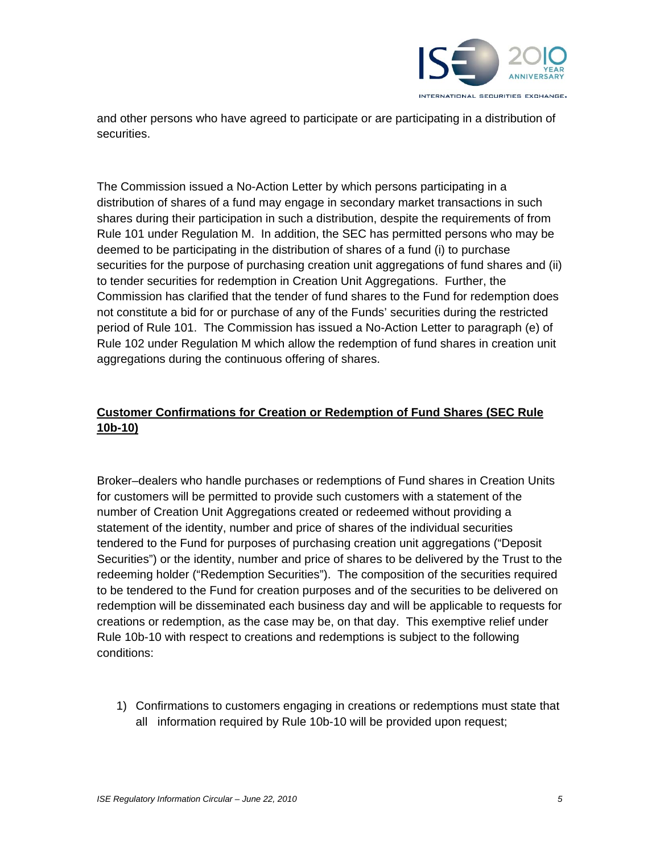

and other persons who have agreed to participate or are participating in a distribution of securities.

The Commission issued a No-Action Letter by which persons participating in a distribution of shares of a fund may engage in secondary market transactions in such shares during their participation in such a distribution, despite the requirements of from Rule 101 under Regulation M. In addition, the SEC has permitted persons who may be deemed to be participating in the distribution of shares of a fund (i) to purchase securities for the purpose of purchasing creation unit aggregations of fund shares and (ii) to tender securities for redemption in Creation Unit Aggregations. Further, the Commission has clarified that the tender of fund shares to the Fund for redemption does not constitute a bid for or purchase of any of the Funds' securities during the restricted period of Rule 101. The Commission has issued a No-Action Letter to paragraph (e) of Rule 102 under Regulation M which allow the redemption of fund shares in creation unit aggregations during the continuous offering of shares.

# **Customer Confirmations for Creation or Redemption of Fund Shares (SEC Rule 10b-10)**

Broker–dealers who handle purchases or redemptions of Fund shares in Creation Units for customers will be permitted to provide such customers with a statement of the number of Creation Unit Aggregations created or redeemed without providing a statement of the identity, number and price of shares of the individual securities tendered to the Fund for purposes of purchasing creation unit aggregations ("Deposit Securities") or the identity, number and price of shares to be delivered by the Trust to the redeeming holder ("Redemption Securities"). The composition of the securities required to be tendered to the Fund for creation purposes and of the securities to be delivered on redemption will be disseminated each business day and will be applicable to requests for creations or redemption, as the case may be, on that day. This exemptive relief under Rule 10b-10 with respect to creations and redemptions is subject to the following conditions:

1) Confirmations to customers engaging in creations or redemptions must state that all information required by Rule 10b-10 will be provided upon request;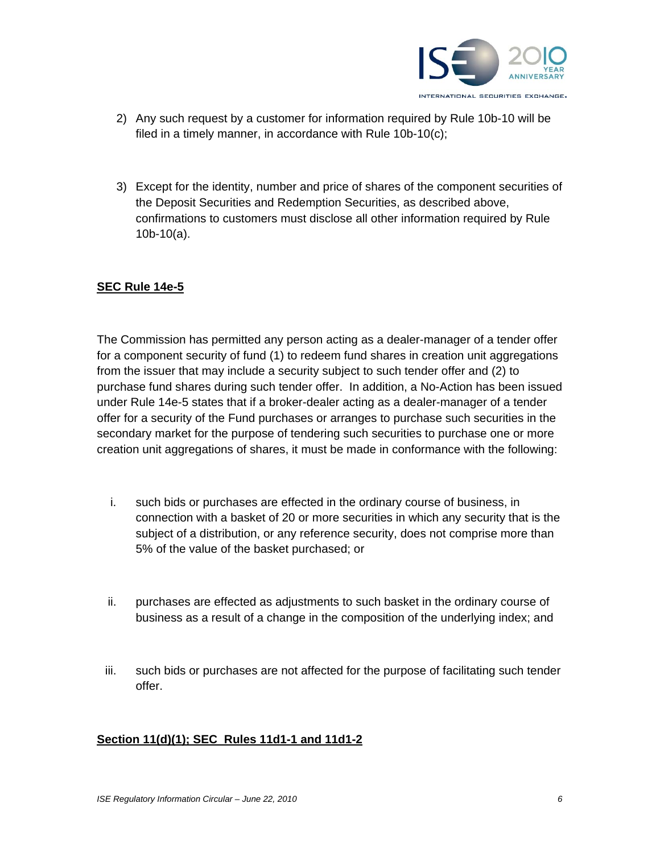

- 2) Any such request by a customer for information required by Rule 10b-10 will be filed in a timely manner, in accordance with Rule 10b-10(c);
- 3) Except for the identity, number and price of shares of the component securities of the Deposit Securities and Redemption Securities, as described above, confirmations to customers must disclose all other information required by Rule 10b-10(a).

#### **SEC Rule 14e-5**

The Commission has permitted any person acting as a dealer-manager of a tender offer for a component security of fund (1) to redeem fund shares in creation unit aggregations from the issuer that may include a security subject to such tender offer and (2) to purchase fund shares during such tender offer. In addition, a No-Action has been issued under Rule 14e-5 states that if a broker-dealer acting as a dealer-manager of a tender offer for a security of the Fund purchases or arranges to purchase such securities in the secondary market for the purpose of tendering such securities to purchase one or more creation unit aggregations of shares, it must be made in conformance with the following:

- i. such bids or purchases are effected in the ordinary course of business, in connection with a basket of 20 or more securities in which any security that is the subject of a distribution, or any reference security, does not comprise more than 5% of the value of the basket purchased; or
- ii. purchases are effected as adjustments to such basket in the ordinary course of business as a result of a change in the composition of the underlying index; and
- iii. such bids or purchases are not affected for the purpose of facilitating such tender offer.

#### **Section 11(d)(1); SEC Rules 11d1-1 and 11d1-2**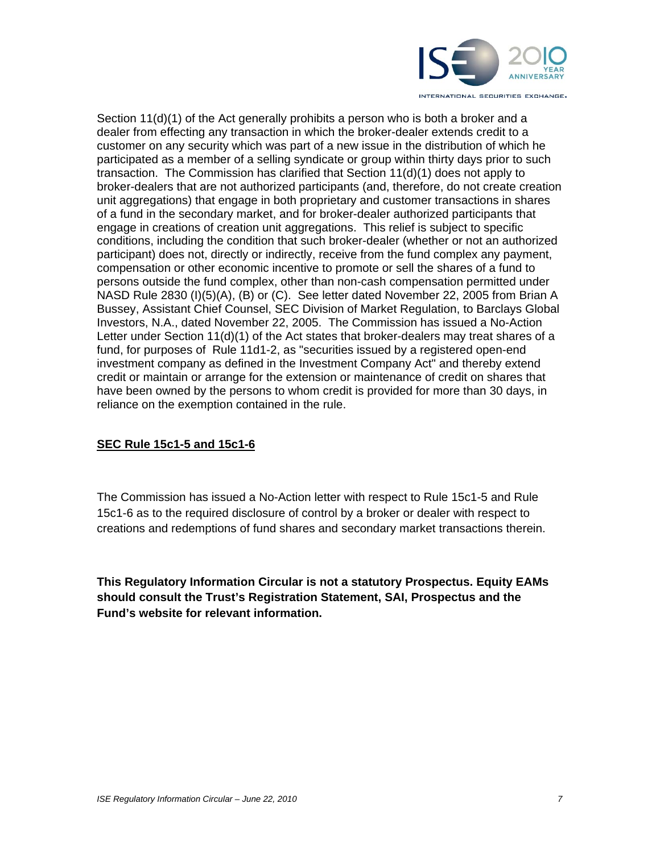

Section 11(d)(1) of the Act generally prohibits a person who is both a broker and a dealer from effecting any transaction in which the broker-dealer extends credit to a customer on any security which was part of a new issue in the distribution of which he participated as a member of a selling syndicate or group within thirty days prior to such transaction. The Commission has clarified that Section 11(d)(1) does not apply to broker-dealers that are not authorized participants (and, therefore, do not create creation unit aggregations) that engage in both proprietary and customer transactions in shares of a fund in the secondary market, and for broker-dealer authorized participants that engage in creations of creation unit aggregations. This relief is subject to specific conditions, including the condition that such broker-dealer (whether or not an authorized participant) does not, directly or indirectly, receive from the fund complex any payment, compensation or other economic incentive to promote or sell the shares of a fund to persons outside the fund complex, other than non-cash compensation permitted under NASD Rule 2830 (I)(5)(A), (B) or (C). See letter dated November 22, 2005 from Brian A Bussey, Assistant Chief Counsel, SEC Division of Market Regulation, to Barclays Global Investors, N.A., dated November 22, 2005. The Commission has issued a No-Action Letter under Section 11(d)(1) of the Act states that broker-dealers may treat shares of a fund, for purposes of Rule 11d1-2, as "securities issued by a registered open-end investment company as defined in the Investment Company Act" and thereby extend credit or maintain or arrange for the extension or maintenance of credit on shares that have been owned by the persons to whom credit is provided for more than 30 days, in reliance on the exemption contained in the rule.

### **SEC Rule 15c1-5 and 15c1-6**

The Commission has issued a No-Action letter with respect to Rule 15c1-5 and Rule 15c1-6 as to the required disclosure of control by a broker or dealer with respect to creations and redemptions of fund shares and secondary market transactions therein.

**This Regulatory Information Circular is not a statutory Prospectus. Equity EAMs should consult the Trust's Registration Statement, SAI, Prospectus and the Fund's website for relevant information.**